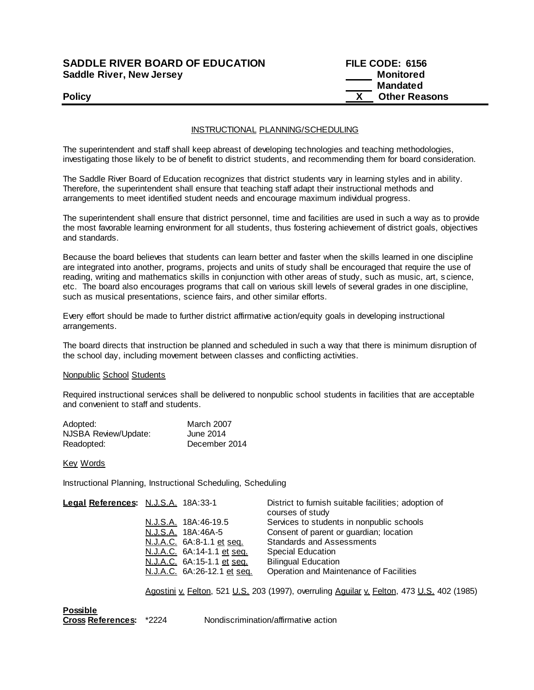## **SADDLE RIVER BOARD OF EDUCATION Saddle River, New Jersey**

| <b>SADDLE RIVER BOARD OF EDUCATION</b> | FILE CODE: 6156      |
|----------------------------------------|----------------------|
| Saddle River, New Jersey               | Monitored            |
|                                        | Mandated             |
| <b>Policy</b>                          | <b>Other Reasons</b> |

### INSTRUCTIONAL PLANNING/SCHEDULING

The superintendent and staff shall keep abreast of developing technologies and teaching methodologies, investigating those likely to be of benefit to district students, and recommending them for board consideration.

The Saddle River Board of Education recognizes that district students vary in learning styles and in ability. Therefore, the superintendent shall ensure that teaching staff adapt their instructional methods and arrangements to meet identified student needs and encourage maximum individual progress.

The superintendent shall ensure that district personnel, time and facilities are used in such a way as to provide the most favorable learning environment for all students, thus fostering achievement of district goals, objectives and standards.

Because the board believes that students can learn better and faster when the skills learned in one discipline are integrated into another, programs, projects and units of study shall be encouraged that require the use of reading, writing and mathematics skills in conjunction with other areas of study, such as music, art, s cience, etc. The board also encourages programs that call on various skill levels of several grades in one discipline, such as musical presentations, science fairs, and other similar efforts.

Every effort should be made to further district affirmative action/equity goals in developing instructional arrangements.

The board directs that instruction be planned and scheduled in such a way that there is minimum disruption of the school day, including movement between classes and conflicting activities.

#### Nonpublic School Students

Required instructional services shall be delivered to nonpublic school students in facilities that are acceptable and convenient to staff and students.

| Adopted:             | <b>March 2007</b> |
|----------------------|-------------------|
| NJSBA Review/Update: | June 2014         |
| Readopted:           | December 2014     |

Key Words

Instructional Planning, Instructional Scheduling, Scheduling

| Legal References: N.J.S.A. 18A:33-1 |                             | District to furnish suitable facilities; adoption of<br>courses of study |
|-------------------------------------|-----------------------------|--------------------------------------------------------------------------|
|                                     | N.J.S.A. 18A:46-19.5        | Services to students in nonpublic schools                                |
|                                     | N.J.S.A. 18A:46A-5          | Consent of parent or guardian; location                                  |
|                                     | N.J.A.C. 6A:8-1.1 et seq.   | <b>Standards and Assessments</b>                                         |
|                                     | N.J.A.C. 6A:14-1.1 et seq.  | Special Education                                                        |
|                                     | N.J.A.C. 6A:15-1.1 et seq.  | <b>Bilingual Education</b>                                               |
|                                     | N.J.A.C. 6A:26-12.1 et seq. | Operation and Maintenance of Facilities                                  |
|                                     |                             |                                                                          |

Agostini v. Felton, 521 U.S. 203 (1997), overruling Aguilar v. Felton, 473 U.S. 402 (1985)

**Possible**

**Cross References:** \*2224 Nondiscrimination/affirmative action